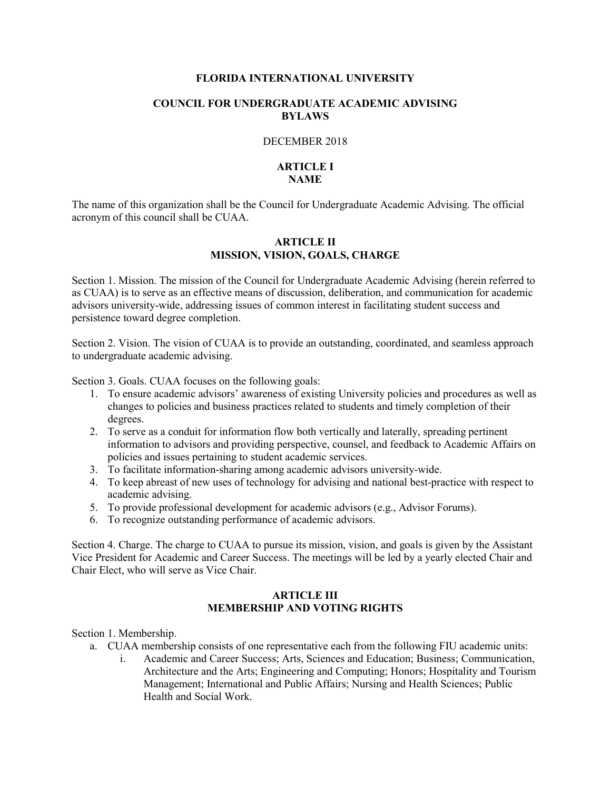#### **FLORIDA INTERNATIONAL UNIVERSITY**

## **COUNCIL FOR UNDERGRADUATE ACADEMIC ADVISING BYLAWS**

#### DECEMBER 2018

#### **ARTICLE I NAME**

The name of this organization shall be the Council for Undergraduate Academic Advising. The official acronym of this council shall be CUAA.

## **ARTICLE II MISSION, VISION, GOALS, CHARGE**

Section 1. Mission. The mission of the Council for Undergraduate Academic Advising (herein referred to as CUAA) is to serve as an effective means of discussion, deliberation, and communication for academic advisors university-wide, addressing issues of common interest in facilitating student success and persistence toward degree completion.

Section 2. Vision. The vision of CUAA is to provide an outstanding, coordinated, and seamless approach to undergraduate academic advising.

Section 3. Goals. CUAA focuses on the following goals:

- 1. To ensure academic advisors' awareness of existing University policies and procedures as well as changes to policies and business practices related to students and timely completion of their degrees.
- 2. To serve as a conduit for information flow both vertically and laterally, spreading pertinent information to advisors and providing perspective, counsel, and feedback to Academic Affairs on policies and issues pertaining to student academic services.
- 3. To facilitate information-sharing among academic advisors university-wide.
- 4. To keep abreast of new uses of technology for advising and national best-practice with respect to academic advising.
- 5. To provide professional development for academic advisors (e.g., Advisor Forums).
- 6. To recognize outstanding performance of academic advisors.

Section 4. Charge. The charge to CUAA to pursue its mission, vision, and goals is given by the Assistant Vice President for Academic and Career Success. The meetings will be led by a yearly elected Chair and Chair Elect, who will serve as Vice Chair.

## **ARTICLE III MEMBERSHIP AND VOTING RIGHTS**

Section 1. Membership.

- a. CUAA membership consists of one representative each from the following FIU academic units:
	- i. Academic and Career Success; Arts, Sciences and Education; Business; Communication, Architecture and the Arts; Engineering and Computing; Honors; Hospitality and Tourism Management; International and Public Affairs; Nursing and Health Sciences; Public Health and Social Work.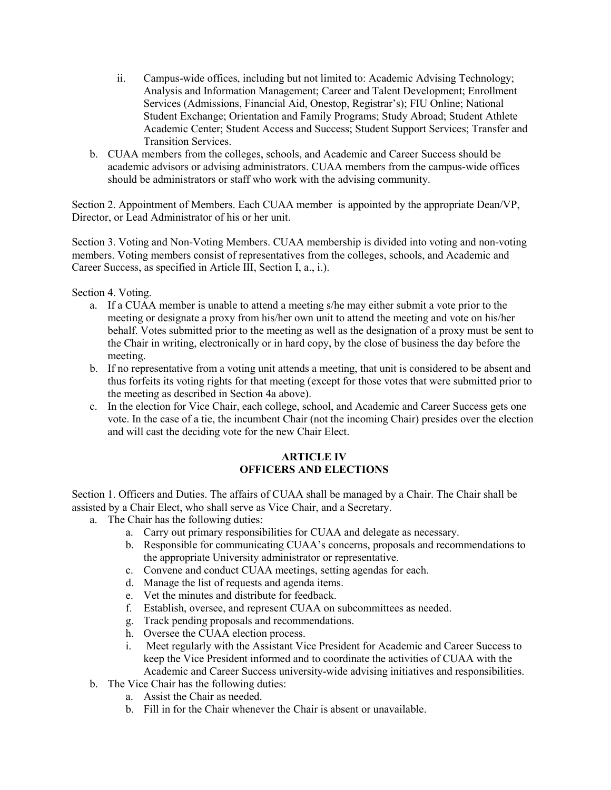- ii. Campus-wide offices, including but not limited to: Academic Advising Technology; Analysis and Information Management; Career and Talent Development; Enrollment Services (Admissions, Financial Aid, Onestop, Registrar's); FIU Online; National Student Exchange; Orientation and Family Programs; Study Abroad; Student Athlete Academic Center; Student Access and Success; Student Support Services; Transfer and Transition Services.
- b. CUAA members from the colleges, schools, and Academic and Career Success should be academic advisors or advising administrators. CUAA members from the campus-wide offices should be administrators or staff who work with the advising community.

Section 2. Appointment of Members. Each CUAA member is appointed by the appropriate Dean/VP, Director, or Lead Administrator of his or her unit.

Section 3. Voting and Non-Voting Members. CUAA membership is divided into voting and non-voting members. Voting members consist of representatives from the colleges, schools, and Academic and Career Success, as specified in Article III, Section I, a., i.).

Section 4. Voting.

- a. If a CUAA member is unable to attend a meeting s/he may either submit a vote prior to the meeting or designate a proxy from his/her own unit to attend the meeting and vote on his/her behalf. Votes submitted prior to the meeting as well as the designation of a proxy must be sent to the Chair in writing, electronically or in hard copy, by the close of business the day before the meeting.
- b. If no representative from a voting unit attends a meeting, that unit is considered to be absent and thus forfeits its voting rights for that meeting (except for those votes that were submitted prior to the meeting as described in Section 4a above).
- c. In the election for Vice Chair, each college, school, and Academic and Career Success gets one vote. In the case of a tie, the incumbent Chair (not the incoming Chair) presides over the election and will cast the deciding vote for the new Chair Elect.

## **ARTICLE IV OFFICERS AND ELECTIONS**

Section 1. Officers and Duties. The affairs of CUAA shall be managed by a Chair. The Chair shall be assisted by a Chair Elect, who shall serve as Vice Chair, and a Secretary.

- a. The Chair has the following duties:
	- a. Carry out primary responsibilities for CUAA and delegate as necessary.
	- b. Responsible for communicating CUAA's concerns, proposals and recommendations to the appropriate University administrator or representative.
	- c. Convene and conduct CUAA meetings, setting agendas for each.
	- d. Manage the list of requests and agenda items.
	- e. Vet the minutes and distribute for feedback.
	- f. Establish, oversee, and represent CUAA on subcommittees as needed.
	- g. Track pending proposals and recommendations.
	- h. Oversee the CUAA election process.
	- i. Meet regularly with the Assistant Vice President for Academic and Career Success to keep the Vice President informed and to coordinate the activities of CUAA with the Academic and Career Success university-wide advising initiatives and responsibilities.
- b. The Vice Chair has the following duties:
	- a. Assist the Chair as needed.
	- b. Fill in for the Chair whenever the Chair is absent or unavailable.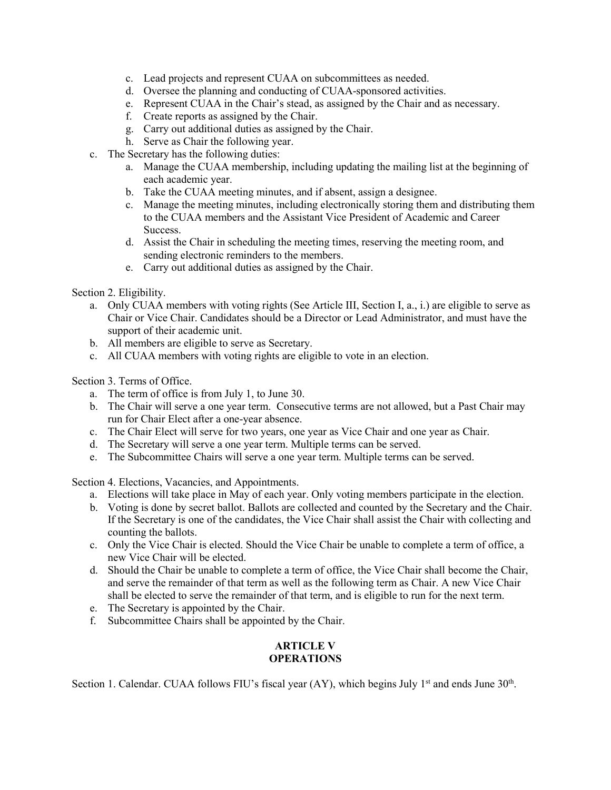- c. Lead projects and represent CUAA on subcommittees as needed.
- d. Oversee the planning and conducting of CUAA-sponsored activities.
- e. Represent CUAA in the Chair's stead, as assigned by the Chair and as necessary.
- f. Create reports as assigned by the Chair.
- g. Carry out additional duties as assigned by the Chair.
- h. Serve as Chair the following year.
- c. The Secretary has the following duties:
	- a. Manage the CUAA membership, including updating the mailing list at the beginning of each academic year.
	- b. Take the CUAA meeting minutes, and if absent, assign a designee.
	- c. Manage the meeting minutes, including electronically storing them and distributing them to the CUAA members and the Assistant Vice President of Academic and Career Success.
	- d. Assist the Chair in scheduling the meeting times, reserving the meeting room, and sending electronic reminders to the members.
	- e. Carry out additional duties as assigned by the Chair.

Section 2. Eligibility.

- a. Only CUAA members with voting rights (See Article III, Section I, a., i.) are eligible to serve as Chair or Vice Chair. Candidates should be a Director or Lead Administrator, and must have the support of their academic unit.
- b. All members are eligible to serve as Secretary.
- c. All CUAA members with voting rights are eligible to vote in an election.

Section 3. Terms of Office.

- a. The term of office is from July 1, to June 30.
- b. The Chair will serve a one year term. Consecutive terms are not allowed, but a Past Chair may run for Chair Elect after a one-year absence.
- c. The Chair Elect will serve for two years, one year as Vice Chair and one year as Chair.
- d. The Secretary will serve a one year term. Multiple terms can be served.
- e. The Subcommittee Chairs will serve a one year term. Multiple terms can be served.

Section 4. Elections, Vacancies, and Appointments.

- a. Elections will take place in May of each year. Only voting members participate in the election.
- b. Voting is done by secret ballot. Ballots are collected and counted by the Secretary and the Chair. If the Secretary is one of the candidates, the Vice Chair shall assist the Chair with collecting and counting the ballots.
- c. Only the Vice Chair is elected. Should the Vice Chair be unable to complete a term of office, a new Vice Chair will be elected.
- d. Should the Chair be unable to complete a term of office, the Vice Chair shall become the Chair, and serve the remainder of that term as well as the following term as Chair. A new Vice Chair shall be elected to serve the remainder of that term, and is eligible to run for the next term.
- e. The Secretary is appointed by the Chair.
- f. Subcommittee Chairs shall be appointed by the Chair.

# **ARTICLE V OPERATIONS**

Section 1. Calendar. CUAA follows FIU's fiscal year (AY), which begins July 1<sup>st</sup> and ends June 30<sup>th</sup>.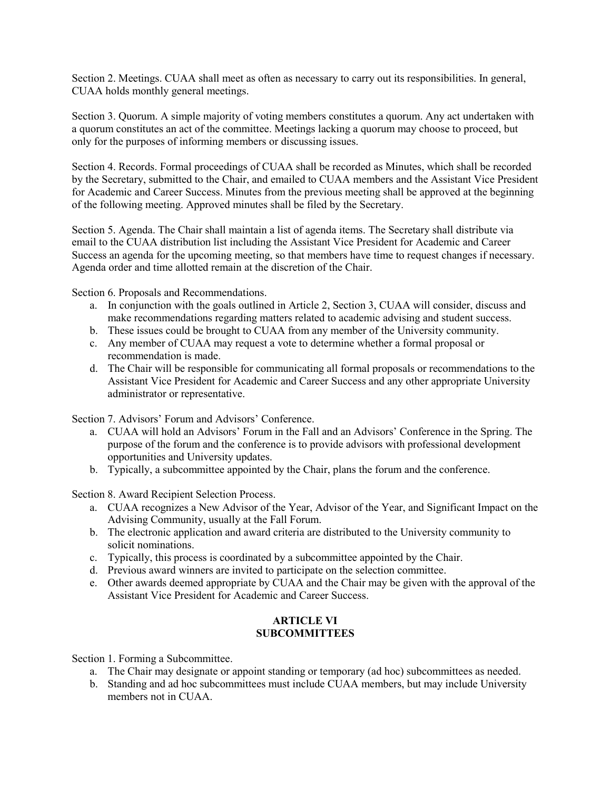Section 2. Meetings. CUAA shall meet as often as necessary to carry out its responsibilities. In general, CUAA holds monthly general meetings.

Section 3. Quorum. A simple majority of voting members constitutes a quorum. Any act undertaken with a quorum constitutes an act of the committee. Meetings lacking a quorum may choose to proceed, but only for the purposes of informing members or discussing issues.

Section 4. Records. Formal proceedings of CUAA shall be recorded as Minutes, which shall be recorded by the Secretary, submitted to the Chair, and emailed to CUAA members and the Assistant Vice President for Academic and Career Success. Minutes from the previous meeting shall be approved at the beginning of the following meeting. Approved minutes shall be filed by the Secretary.

Section 5. Agenda. The Chair shall maintain a list of agenda items. The Secretary shall distribute via email to the CUAA distribution list including the Assistant Vice President for Academic and Career Success an agenda for the upcoming meeting, so that members have time to request changes if necessary. Agenda order and time allotted remain at the discretion of the Chair.

Section 6. Proposals and Recommendations.

- a. In conjunction with the goals outlined in Article 2, Section 3, CUAA will consider, discuss and make recommendations regarding matters related to academic advising and student success.
- b. These issues could be brought to CUAA from any member of the University community.
- c. Any member of CUAA may request a vote to determine whether a formal proposal or recommendation is made.
- d. The Chair will be responsible for communicating all formal proposals or recommendations to the Assistant Vice President for Academic and Career Success and any other appropriate University administrator or representative.

Section 7. Advisors' Forum and Advisors' Conference.

- a. CUAA will hold an Advisors' Forum in the Fall and an Advisors' Conference in the Spring. The purpose of the forum and the conference is to provide advisors with professional development opportunities and University updates.
- b. Typically, a subcommittee appointed by the Chair, plans the forum and the conference.

Section 8. Award Recipient Selection Process.

- a. CUAA recognizes a New Advisor of the Year, Advisor of the Year, and Significant Impact on the Advising Community, usually at the Fall Forum.
- b. The electronic application and award criteria are distributed to the University community to solicit nominations.
- c. Typically, this process is coordinated by a subcommittee appointed by the Chair.
- d. Previous award winners are invited to participate on the selection committee.
- e. Other awards deemed appropriate by CUAA and the Chair may be given with the approval of the Assistant Vice President for Academic and Career Success.

# **ARTICLE VI SUBCOMMITTEES**

Section 1. Forming a Subcommittee.

- a. The Chair may designate or appoint standing or temporary (ad hoc) subcommittees as needed.
- b. Standing and ad hoc subcommittees must include CUAA members, but may include University members not in CUAA.